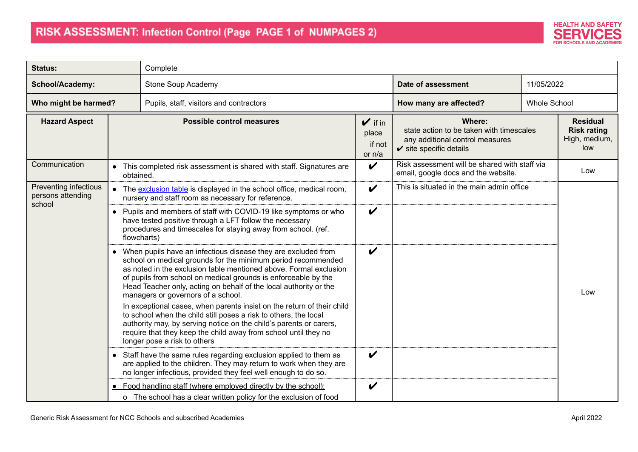

| <b>Status:</b>                             |           | Complete                                                                                                                                                                                                                                                                                                                                                                                                                                                                                                                                                                                                                                                                                                 |                                                 |                                                                                                                             |                     |                                                               |  |
|--------------------------------------------|-----------|----------------------------------------------------------------------------------------------------------------------------------------------------------------------------------------------------------------------------------------------------------------------------------------------------------------------------------------------------------------------------------------------------------------------------------------------------------------------------------------------------------------------------------------------------------------------------------------------------------------------------------------------------------------------------------------------------------|-------------------------------------------------|-----------------------------------------------------------------------------------------------------------------------------|---------------------|---------------------------------------------------------------|--|
| School/Academy:                            |           | Stone Soup Academy                                                                                                                                                                                                                                                                                                                                                                                                                                                                                                                                                                                                                                                                                       |                                                 | Date of assessment                                                                                                          | 11/05/2022          |                                                               |  |
| Who might be harmed?                       |           | Pupils, staff, visitors and contractors                                                                                                                                                                                                                                                                                                                                                                                                                                                                                                                                                                                                                                                                  |                                                 | How many are affected?                                                                                                      | <b>Whole School</b> |                                                               |  |
| <b>Hazard Aspect</b>                       |           | <b>Possible control measures</b>                                                                                                                                                                                                                                                                                                                                                                                                                                                                                                                                                                                                                                                                         | $\mathbf{v}$ if in<br>place<br>if not<br>or n/a | Where:<br>state action to be taken with timescales<br>any additional control measures<br>$\checkmark$ site specific details |                     | <b>Residual</b><br><b>Risk rating</b><br>High, medium,<br>low |  |
| Communication                              | obtained. | • This completed risk assessment is shared with staff. Signatures are                                                                                                                                                                                                                                                                                                                                                                                                                                                                                                                                                                                                                                    | $\boldsymbol{\nu}$                              | Risk assessment will be shared with staff via<br>email, google docs and the website.                                        |                     | Low                                                           |  |
| Preventing infectious<br>persons attending |           | • The exclusion table is displayed in the school office, medical room,<br>nursery and staff room as necessary for reference.                                                                                                                                                                                                                                                                                                                                                                                                                                                                                                                                                                             | $\boldsymbol{\nu}$                              | This is situated in the main admin office                                                                                   |                     |                                                               |  |
| school                                     |           | • Pupils and members of staff with COVID-19 like symptoms or who<br>have tested positive through a LFT follow the necessary<br>procedures and timescales for staying away from school. (ref.<br>flowcharts)                                                                                                                                                                                                                                                                                                                                                                                                                                                                                              | $\boldsymbol{\nu}$                              |                                                                                                                             |                     |                                                               |  |
|                                            |           | • When pupils have an infectious disease they are excluded from<br>school on medical grounds for the minimum period recommended<br>as noted in the exclusion table mentioned above. Formal exclusion<br>of pupils from school on medical grounds is enforceable by the<br>Head Teacher only, acting on behalf of the local authority or the<br>managers or governors of a school.<br>In exceptional cases, when parents insist on the return of their child<br>to school when the child still poses a risk to others, the local<br>authority may, by serving notice on the child's parents or carers,<br>require that they keep the child away from school until they no<br>longer pose a risk to others | $\boldsymbol{\nu}$                              |                                                                                                                             |                     | Low                                                           |  |
|                                            |           | • Staff have the same rules regarding exclusion applied to them as<br>are applied to the children. They may return to work when they are<br>no longer infectious, provided they feel well enough to do so.                                                                                                                                                                                                                                                                                                                                                                                                                                                                                               | $\boldsymbol{\mathscr{C}}$                      |                                                                                                                             |                     |                                                               |  |
|                                            |           | • Food handling staff (where employed directly by the school):<br>o The school has a clear written policy for the exclusion of food                                                                                                                                                                                                                                                                                                                                                                                                                                                                                                                                                                      | V                                               |                                                                                                                             |                     |                                                               |  |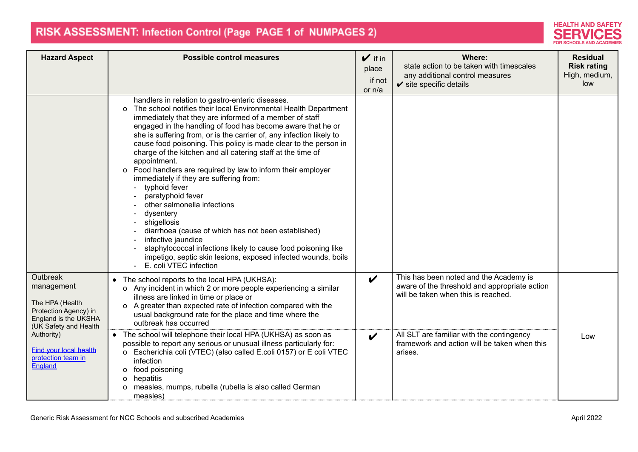

| <b>Hazard Aspect</b>                                                                                                | <b>Possible control measures</b>                                                                                                                                                                                                                                                                                                                                                                                                                                                                                                                                                                                                                                                                                                                                                                                                                                                                                                                                             | $\mathbf{V}$ if in<br>place<br>if not<br>or $n/a$ | Where:<br>state action to be taken with timescales<br>any additional control measures<br>$\checkmark$ site specific details    | <b>Residual</b><br><b>Risk rating</b><br>High, medium,<br>low |
|---------------------------------------------------------------------------------------------------------------------|------------------------------------------------------------------------------------------------------------------------------------------------------------------------------------------------------------------------------------------------------------------------------------------------------------------------------------------------------------------------------------------------------------------------------------------------------------------------------------------------------------------------------------------------------------------------------------------------------------------------------------------------------------------------------------------------------------------------------------------------------------------------------------------------------------------------------------------------------------------------------------------------------------------------------------------------------------------------------|---------------------------------------------------|--------------------------------------------------------------------------------------------------------------------------------|---------------------------------------------------------------|
|                                                                                                                     | handlers in relation to gastro-enteric diseases.<br>The school notifies their local Environmental Health Department<br>$\circ$<br>immediately that they are informed of a member of staff<br>engaged in the handling of food has become aware that he or<br>she is suffering from, or is the carrier of, any infection likely to<br>cause food poisoning. This policy is made clear to the person in<br>charge of the kitchen and all catering staff at the time of<br>appointment.<br>o Food handlers are required by law to inform their employer<br>immediately if they are suffering from:<br>typhoid fever<br>$\blacksquare$<br>paratyphoid fever<br>other salmonella infections<br>dysentery<br>shigellosis<br>$\blacksquare$<br>diarrhoea (cause of which has not been established)<br>infective jaundice<br>staphylococcal infections likely to cause food poisoning like<br>impetigo, septic skin lesions, exposed infected wounds, boils<br>E. coli VTEC infection |                                                   |                                                                                                                                |                                                               |
| Outbreak<br>management<br>The HPA (Health<br>Protection Agency) in<br>England is the UKSHA<br>(UK Safety and Health | • The school reports to the local HPA (UKHSA):<br>o Any incident in which 2 or more people experiencing a similar<br>illness are linked in time or place or<br>o A greater than expected rate of infection compared with the<br>usual background rate for the place and time where the<br>outbreak has occurred                                                                                                                                                                                                                                                                                                                                                                                                                                                                                                                                                                                                                                                              | $\boldsymbol{\nu}$                                | This has been noted and the Academy is<br>aware of the threshold and appropriate action<br>will be taken when this is reached. |                                                               |
| Authority)<br><b>Find your local health</b><br>protection team in<br>England                                        | • The school will telephone their local HPA (UKHSA) as soon as<br>possible to report any serious or unusual illness particularly for:<br>Escherichia coli (VTEC) (also called E.coli 0157) or E coli VTEC<br>o<br>infection<br>o food poisoning<br>o hepatitis<br>o measles, mumps, rubella (rubella is also called German<br>measles)                                                                                                                                                                                                                                                                                                                                                                                                                                                                                                                                                                                                                                       | $\boldsymbol{\mathcal{U}}$                        | All SLT are familiar with the contingency<br>framework and action will be taken when this<br>arises.                           | Low                                                           |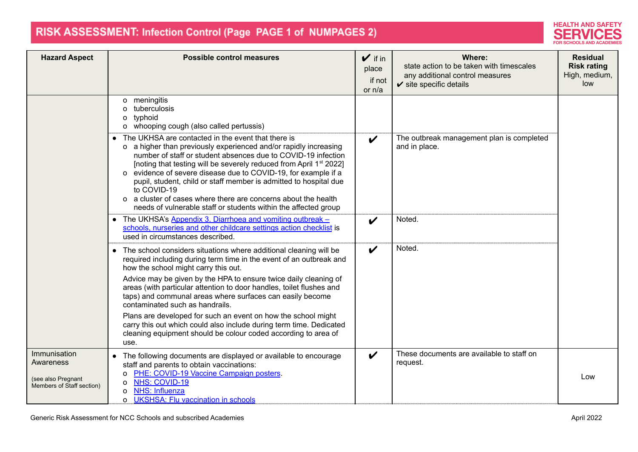

| <b>Hazard Aspect</b>                                                         | <b>Possible control measures</b>                                                                                                                                                                                                                                                                                                                                                                                                                                                                                                                                                                                                                 | $\mathbf{v}$ if in<br>place<br>if not<br>or n/a | Where:<br>state action to be taken with timescales<br>any additional control measures<br>$\checkmark$ site specific details | <b>Residual</b><br><b>Risk rating</b><br>High, medium,<br>low |
|------------------------------------------------------------------------------|--------------------------------------------------------------------------------------------------------------------------------------------------------------------------------------------------------------------------------------------------------------------------------------------------------------------------------------------------------------------------------------------------------------------------------------------------------------------------------------------------------------------------------------------------------------------------------------------------------------------------------------------------|-------------------------------------------------|-----------------------------------------------------------------------------------------------------------------------------|---------------------------------------------------------------|
|                                                                              | o meningitis<br>tuberculosis<br>typhoid<br>0<br>o whooping cough (also called pertussis)                                                                                                                                                                                                                                                                                                                                                                                                                                                                                                                                                         |                                                 |                                                                                                                             |                                                               |
|                                                                              | • The UKHSA are contacted in the event that there is<br>o a higher than previously experienced and/or rapidly increasing<br>number of staff or student absences due to COVID-19 infection<br>[noting that testing will be severely reduced from April 1 <sup>st</sup> 2022]<br>o evidence of severe disease due to COVID-19, for example if a<br>pupil, student, child or staff member is admitted to hospital due<br>to COVID-19<br>o a cluster of cases where there are concerns about the health<br>needs of vulnerable staff or students within the affected group                                                                           | $\boldsymbol{\nu}$                              | The outbreak management plan is completed<br>and in place.                                                                  |                                                               |
|                                                                              | • The UKHSA's Appendix 3. Diarrhoea and vomiting outbreak -<br>schools, nurseries and other childcare settings action checklist is<br>used in circumstances described.                                                                                                                                                                                                                                                                                                                                                                                                                                                                           | V                                               | Noted.                                                                                                                      |                                                               |
|                                                                              | • The school considers situations where additional cleaning will be<br>required including during term time in the event of an outbreak and<br>how the school might carry this out.<br>Advice may be given by the HPA to ensure twice daily cleaning of<br>areas (with particular attention to door handles, toilet flushes and<br>taps) and communal areas where surfaces can easily become<br>contaminated such as handrails.<br>Plans are developed for such an event on how the school might<br>carry this out which could also include during term time. Dedicated<br>cleaning equipment should be colour coded according to area of<br>use. | $\boldsymbol{\mathscr{C}}$                      | Noted.                                                                                                                      |                                                               |
| Immunisation<br>Awareness<br>(see also Pregnant<br>Members of Staff section) | • The following documents are displayed or available to encourage<br>staff and parents to obtain vaccinations:<br>PHE: COVID-19 Vaccine Campaign posters.<br>o<br><b>NHS: COVID-19</b><br>o<br>NHS: Influenza<br>$\Omega$<br><b>UKSHSA: Flu vaccination in schools</b><br>$\Omega$                                                                                                                                                                                                                                                                                                                                                               | $\boldsymbol{\nu}$                              | These documents are available to staff on<br>request.                                                                       | Low                                                           |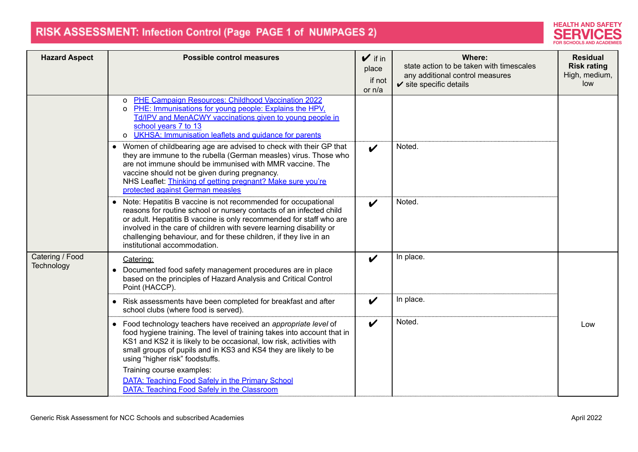

| <b>Hazard Aspect</b>          | <b>Possible control measures</b>                                                                                                                                                                                                                                                                                                                                                          | $\mathbf{v}$ if in<br>place<br>if not<br>or n/a | Where:<br>state action to be taken with timescales<br>any additional control measures<br>$\checkmark$ site specific details | <b>Residual</b><br><b>Risk rating</b><br>High, medium,<br>low |
|-------------------------------|-------------------------------------------------------------------------------------------------------------------------------------------------------------------------------------------------------------------------------------------------------------------------------------------------------------------------------------------------------------------------------------------|-------------------------------------------------|-----------------------------------------------------------------------------------------------------------------------------|---------------------------------------------------------------|
|                               | PHE Campaign Resources: Childhood Vaccination 2022<br>O<br>PHE: Immunisations for young people: Explains the HPV,<br>$\Omega$<br>Td/IPV and MenACWY vaccinations given to young people in<br>school years 7 to 13<br><b>UKHSA: Immunisation leaflets and quidance for parents</b><br>o                                                                                                    |                                                 |                                                                                                                             |                                                               |
|                               | • Women of childbearing age are advised to check with their GP that<br>they are immune to the rubella (German measles) virus. Those who<br>are not immune should be immunised with MMR vaccine. The<br>vaccine should not be given during pregnancy.<br>NHS Leaflet: Thinking of getting pregnant? Make sure you're<br>protected against German measles                                   | $\boldsymbol{\nu}$                              | Noted.                                                                                                                      |                                                               |
|                               | • Note: Hepatitis B vaccine is not recommended for occupational<br>reasons for routine school or nursery contacts of an infected child<br>or adult. Hepatitis B vaccine is only recommended for staff who are<br>involved in the care of children with severe learning disability or<br>challenging behaviour, and for these children, if they live in an<br>institutional accommodation. | $\boldsymbol{\nu}$                              | Noted                                                                                                                       |                                                               |
| Catering / Food<br>Technology | Catering:<br>• Documented food safety management procedures are in place<br>based on the principles of Hazard Analysis and Critical Control<br>Point (HACCP).                                                                                                                                                                                                                             | $\boldsymbol{\nu}$                              | In place.                                                                                                                   |                                                               |
|                               | • Risk assessments have been completed for breakfast and after<br>school clubs (where food is served).                                                                                                                                                                                                                                                                                    | $\boldsymbol{\nu}$                              | In place.                                                                                                                   |                                                               |
|                               | • Food technology teachers have received an appropriate level of<br>food hygiene training. The level of training takes into account that in<br>KS1 and KS2 it is likely to be occasional, low risk, activities with<br>small groups of pupils and in KS3 and KS4 they are likely to be<br>using "higher risk" foodstuffs.                                                                 | $\boldsymbol{\nu}$                              | Noted.                                                                                                                      | Low                                                           |
|                               | Training course examples:<br><b>DATA: Teaching Food Safely in the Primary School</b><br>DATA: Teaching Food Safely in the Classroom                                                                                                                                                                                                                                                       |                                                 |                                                                                                                             |                                                               |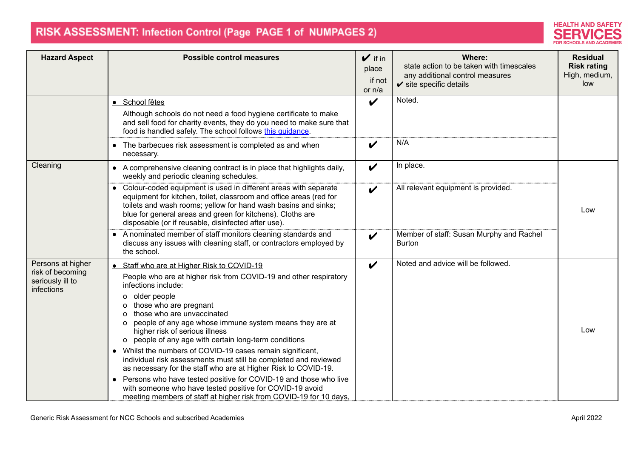

| <b>Hazard Aspect</b>                                                    | <b>Possible control measures</b>                                                                                                                                                                                                                                                                                                                                                                                                                                                                                                                                                                                                                                                                                                                                                                                      | $\mathbf{v}$ if in<br>place<br>if not<br>or n/a | Where:<br>state action to be taken with timescales<br>any additional control measures<br>$\checkmark$ site specific details | <b>Residual</b><br><b>Risk rating</b><br>High, medium,<br>low |
|-------------------------------------------------------------------------|-----------------------------------------------------------------------------------------------------------------------------------------------------------------------------------------------------------------------------------------------------------------------------------------------------------------------------------------------------------------------------------------------------------------------------------------------------------------------------------------------------------------------------------------------------------------------------------------------------------------------------------------------------------------------------------------------------------------------------------------------------------------------------------------------------------------------|-------------------------------------------------|-----------------------------------------------------------------------------------------------------------------------------|---------------------------------------------------------------|
|                                                                         | · School fêtes<br>Although schools do not need a food hygiene certificate to make<br>and sell food for charity events, they do you need to make sure that<br>food is handled safely. The school follows this quidance.                                                                                                                                                                                                                                                                                                                                                                                                                                                                                                                                                                                                | $\boldsymbol{\nu}$                              | Noted.                                                                                                                      |                                                               |
|                                                                         | • The barbecues risk assessment is completed as and when<br>necessary.                                                                                                                                                                                                                                                                                                                                                                                                                                                                                                                                                                                                                                                                                                                                                | $\boldsymbol{\nu}$                              | N/A                                                                                                                         |                                                               |
| Cleaning                                                                | • A comprehensive cleaning contract is in place that highlights daily,<br>weekly and periodic cleaning schedules.                                                                                                                                                                                                                                                                                                                                                                                                                                                                                                                                                                                                                                                                                                     | $\boldsymbol{\nu}$                              | In place.                                                                                                                   |                                                               |
|                                                                         | • Colour-coded equipment is used in different areas with separate<br>equipment for kitchen, toilet, classroom and office areas (red for<br>toilets and wash rooms; yellow for hand wash basins and sinks;<br>blue for general areas and green for kitchens). Cloths are<br>disposable (or if reusable, disinfected after use).                                                                                                                                                                                                                                                                                                                                                                                                                                                                                        | $\boldsymbol{\nu}$                              | All relevant equipment is provided.                                                                                         | Low                                                           |
|                                                                         | • A nominated member of staff monitors cleaning standards and<br>discuss any issues with cleaning staff, or contractors employed by<br>the school.                                                                                                                                                                                                                                                                                                                                                                                                                                                                                                                                                                                                                                                                    | $\boldsymbol{\nu}$                              | Member of staff: Susan Murphy and Rachel<br><b>Burton</b>                                                                   |                                                               |
| Persons at higher<br>risk of becoming<br>seriously ill to<br>infections | • Staff who are at Higher Risk to COVID-19<br>People who are at higher risk from COVID-19 and other respiratory<br>infections include:<br>older people<br>O<br>those who are pregnant<br>O.<br>those who are unvaccinated<br>$\Omega$<br>people of any age whose immune system means they are at<br>O<br>higher risk of serious illness<br>people of any age with certain long-term conditions<br>$\circ$<br>• Whilst the numbers of COVID-19 cases remain significant,<br>individual risk assessments must still be completed and reviewed<br>as necessary for the staff who are at Higher Risk to COVID-19.<br>• Persons who have tested positive for COVID-19 and those who live<br>with someone who have tested positive for COVID-19 avoid<br>meeting members of staff at higher risk from COVID-19 for 10 days, | $\boldsymbol{\nu}$                              | Noted and advice will be followed.                                                                                          | Low                                                           |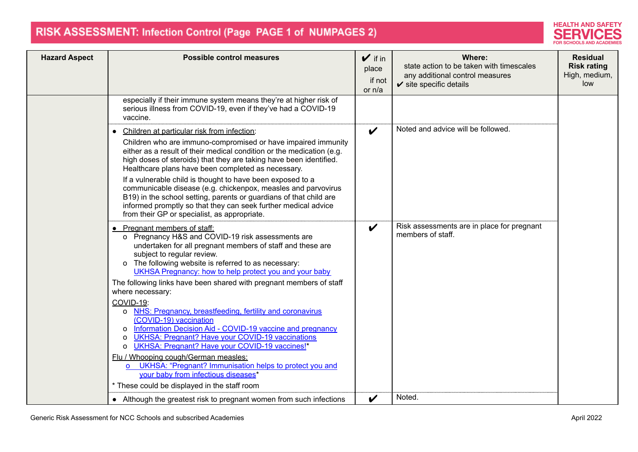

| <b>Hazard Aspect</b> | <b>Possible control measures</b>                                                                                                                                                                                                                                                                                                                                                                                                                                                                                                                                                                                                                                                                                                                                                                                                                                                          | $\mathbf{v}$ if in<br>place<br>if not<br>or n/a | Where:<br>state action to be taken with timescales<br>any additional control measures<br>$\checkmark$ site specific details | <b>Residual</b><br><b>Risk rating</b><br>High, medium,<br>low |
|----------------------|-------------------------------------------------------------------------------------------------------------------------------------------------------------------------------------------------------------------------------------------------------------------------------------------------------------------------------------------------------------------------------------------------------------------------------------------------------------------------------------------------------------------------------------------------------------------------------------------------------------------------------------------------------------------------------------------------------------------------------------------------------------------------------------------------------------------------------------------------------------------------------------------|-------------------------------------------------|-----------------------------------------------------------------------------------------------------------------------------|---------------------------------------------------------------|
|                      | especially if their immune system means they're at higher risk of<br>serious illness from COVID-19, even if they've had a COVID-19<br>vaccine.                                                                                                                                                                                                                                                                                                                                                                                                                                                                                                                                                                                                                                                                                                                                            |                                                 |                                                                                                                             |                                                               |
|                      | • Children at particular risk from infection:<br>Children who are immuno-compromised or have impaired immunity<br>either as a result of their medical condition or the medication (e.g.<br>high doses of steroids) that they are taking have been identified.<br>Healthcare plans have been completed as necessary.<br>If a vulnerable child is thought to have been exposed to a<br>communicable disease (e.g. chickenpox, measles and parvovirus<br>B19) in the school setting, parents or guardians of that child are<br>informed promptly so that they can seek further medical advice<br>from their GP or specialist, as appropriate.                                                                                                                                                                                                                                                | $\boldsymbol{\mathcal{U}}$                      | Noted and advice will be followed.                                                                                          |                                                               |
|                      | • Pregnant members of staff:<br>o Pregnancy H&S and COVID-19 risk assessments are<br>undertaken for all pregnant members of staff and these are<br>subject to regular review.<br>o The following website is referred to as necessary:<br>UKHSA Pregnancy: how to help protect you and your baby<br>The following links have been shared with pregnant members of staff<br>where necessary:<br>COVID-19:<br>o NHS: Pregnancy, breastfeeding, fertility and coronavirus<br>(COVID-19) vaccination<br>Information Decision Aid - COVID-19 vaccine and pregnancy<br>O<br><b>UKHSA: Pregnant? Have your COVID-19 vaccinations</b><br>0<br>UKHSA: Pregnant? Have your COVID-19 vaccines!*<br>$\Omega$<br>Flu / Whooping cough/German measles:<br>UKHSA: "Pregnant? Immunisation helps to protect you and<br>your baby from infectious diseases*<br>* These could be displayed in the staff room | $\boldsymbol{\nu}$                              | Risk assessments are in place for pregnant<br>members of staff.                                                             |                                                               |
|                      | • Although the greatest risk to pregnant women from such infections                                                                                                                                                                                                                                                                                                                                                                                                                                                                                                                                                                                                                                                                                                                                                                                                                       | $\boldsymbol{\mathcal{U}}$                      | Noted.                                                                                                                      |                                                               |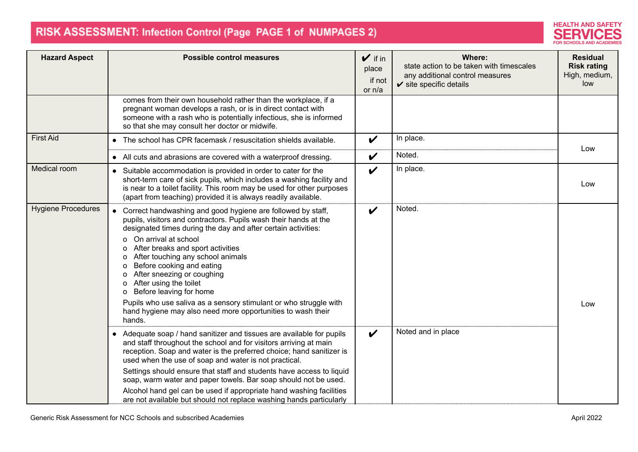

| <b>Hazard Aspect</b>      | <b>Possible control measures</b>                                                                                                                                                                                                                                                                                                                                                                                                                                                                                                                                                                                                                                                                                                                                                                                                                                                                                                                        | $\mathbf{v}$ if in<br>place<br>if not<br>or n/a | Where:<br>state action to be taken with timescales<br>any additional control measures<br>$\checkmark$ site specific details | <b>Residual</b><br><b>Risk rating</b><br>High, medium,<br>low |
|---------------------------|---------------------------------------------------------------------------------------------------------------------------------------------------------------------------------------------------------------------------------------------------------------------------------------------------------------------------------------------------------------------------------------------------------------------------------------------------------------------------------------------------------------------------------------------------------------------------------------------------------------------------------------------------------------------------------------------------------------------------------------------------------------------------------------------------------------------------------------------------------------------------------------------------------------------------------------------------------|-------------------------------------------------|-----------------------------------------------------------------------------------------------------------------------------|---------------------------------------------------------------|
|                           | comes from their own household rather than the workplace, if a<br>pregnant woman develops a rash, or is in direct contact with<br>someone with a rash who is potentially infectious, she is informed<br>so that she may consult her doctor or midwife.                                                                                                                                                                                                                                                                                                                                                                                                                                                                                                                                                                                                                                                                                                  |                                                 |                                                                                                                             |                                                               |
| <b>First Aid</b>          | • The school has CPR facemask / resuscitation shields available.                                                                                                                                                                                                                                                                                                                                                                                                                                                                                                                                                                                                                                                                                                                                                                                                                                                                                        | $\boldsymbol{\mathcal{U}}$                      | In place.                                                                                                                   | Low                                                           |
|                           | • All cuts and abrasions are covered with a waterproof dressing.                                                                                                                                                                                                                                                                                                                                                                                                                                                                                                                                                                                                                                                                                                                                                                                                                                                                                        | $\boldsymbol{\nu}$                              | Noted.                                                                                                                      |                                                               |
| Medical room              | • Suitable accommodation is provided in order to cater for the<br>short-term care of sick pupils, which includes a washing facility and<br>is near to a toilet facility. This room may be used for other purposes<br>(apart from teaching) provided it is always readily available.                                                                                                                                                                                                                                                                                                                                                                                                                                                                                                                                                                                                                                                                     | $\boldsymbol{\nu}$                              | In place.                                                                                                                   | Low                                                           |
| <b>Hygiene Procedures</b> | • Correct handwashing and good hygiene are followed by staff,<br>pupils, visitors and contractors. Pupils wash their hands at the<br>designated times during the day and after certain activities:<br>On arrival at school<br>O<br>After breaks and sport activities<br>o<br>After touching any school animals<br>0<br>Before cooking and eating<br>o<br>After sneezing or coughing<br>о<br>After using the toilet<br>O<br>Before leaving for home<br>Pupils who use saliva as a sensory stimulant or who struggle with<br>hand hygiene may also need more opportunities to wash their<br>hands.<br>• Adequate soap / hand sanitizer and tissues are available for pupils<br>and staff throughout the school and for visitors arriving at main<br>reception. Soap and water is the preferred choice; hand sanitizer is<br>used when the use of soap and water is not practical.<br>Settings should ensure that staff and students have access to liquid | V<br>$\boldsymbol{\nu}$                         | Noted.<br>Noted and in place                                                                                                | Low                                                           |
|                           | soap, warm water and paper towels. Bar soap should not be used.<br>Alcohol hand gel can be used if appropriate hand washing facilities<br>are not available but should not replace washing hands particularly                                                                                                                                                                                                                                                                                                                                                                                                                                                                                                                                                                                                                                                                                                                                           |                                                 |                                                                                                                             |                                                               |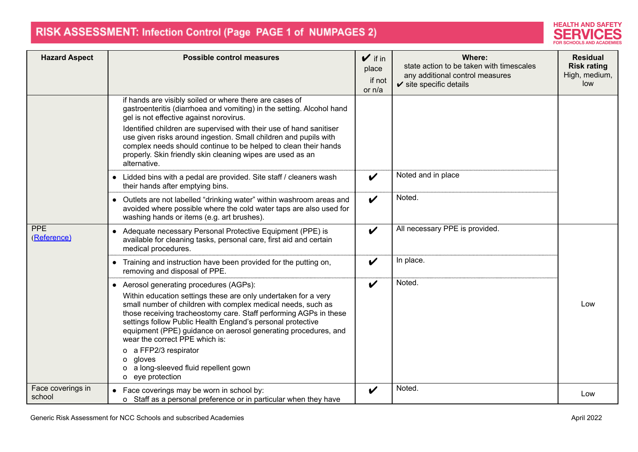

| <b>Hazard Aspect</b>        | <b>Possible control measures</b>                                                                                                                                                                                                                                                                                                                                                                                                                                                                                                               | $\sqrt{ }$ if in<br>place<br>if not<br>or n/a | Where:<br>state action to be taken with timescales<br>any additional control measures<br>$\checkmark$ site specific details | <b>Residual</b><br><b>Risk rating</b><br>High, medium,<br>low |
|-----------------------------|------------------------------------------------------------------------------------------------------------------------------------------------------------------------------------------------------------------------------------------------------------------------------------------------------------------------------------------------------------------------------------------------------------------------------------------------------------------------------------------------------------------------------------------------|-----------------------------------------------|-----------------------------------------------------------------------------------------------------------------------------|---------------------------------------------------------------|
|                             | if hands are visibly soiled or where there are cases of<br>gastroenteritis (diarrhoea and vomiting) in the setting. Alcohol hand<br>gel is not effective against norovirus.<br>Identified children are supervised with their use of hand sanitiser<br>use given risks around ingestion. Small children and pupils with<br>complex needs should continue to be helped to clean their hands<br>properly. Skin friendly skin cleaning wipes are used as an<br>alternative.<br>• Lidded bins with a pedal are provided. Site staff / cleaners wash | $\boldsymbol{\nu}$                            | Noted and in place                                                                                                          |                                                               |
|                             | their hands after emptying bins.<br>• Outlets are not labelled "drinking water" within washroom areas and<br>avoided where possible where the cold water taps are also used for<br>washing hands or items (e.g. art brushes).                                                                                                                                                                                                                                                                                                                  | $\boldsymbol{\mathcal{U}}$                    | Noted.                                                                                                                      |                                                               |
| <b>PPE</b><br>(Reference)   | • Adequate necessary Personal Protective Equipment (PPE) is<br>available for cleaning tasks, personal care, first aid and certain<br>medical procedures.                                                                                                                                                                                                                                                                                                                                                                                       | $\boldsymbol{\nu}$                            | All necessary PPE is provided.                                                                                              |                                                               |
|                             | • Training and instruction have been provided for the putting on,<br>removing and disposal of PPE.                                                                                                                                                                                                                                                                                                                                                                                                                                             | $\boldsymbol{\nu}$                            | In place.                                                                                                                   |                                                               |
|                             | • Aerosol generating procedures (AGPs):<br>Within education settings these are only undertaken for a very<br>small number of children with complex medical needs, such as<br>those receiving tracheostomy care. Staff performing AGPs in these<br>settings follow Public Health England's personal protective<br>equipment (PPE) guidance on aerosol generating procedures, and<br>wear the correct PPE which is:<br>o a FFP2/3 respirator<br>gloves<br>0<br>o a long-sleeved fluid repellent gown<br>o eye protection                         | V                                             | Noted.                                                                                                                      | Low                                                           |
| Face coverings in<br>school | • Face coverings may be worn in school by:<br>o Staff as a personal preference or in particular when they have                                                                                                                                                                                                                                                                                                                                                                                                                                 | V                                             | Noted.                                                                                                                      | Low                                                           |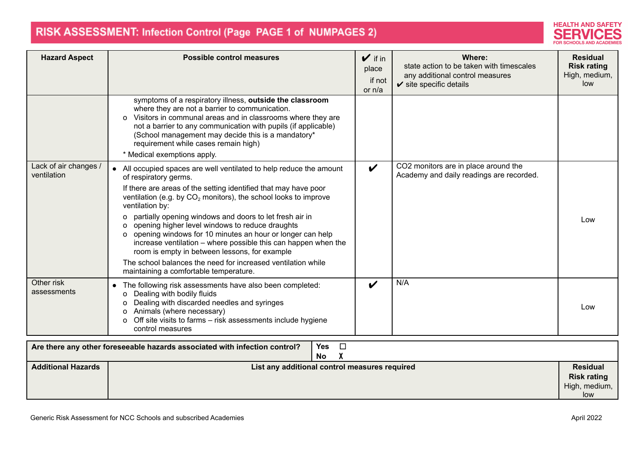

| <b>Hazard Aspect</b>                 | <b>Possible control measures</b>                                                                                                                                                                                                                                                                                                                                                                                                                                                                                                                                                                                                                                                | $\mathbf{v}$ if in<br>place<br>if not<br>or n/a | Where:<br>state action to be taken with timescales<br>any additional control measures<br>$\checkmark$ site specific details | <b>Residual</b><br><b>Risk rating</b><br>High, medium,<br>low |
|--------------------------------------|---------------------------------------------------------------------------------------------------------------------------------------------------------------------------------------------------------------------------------------------------------------------------------------------------------------------------------------------------------------------------------------------------------------------------------------------------------------------------------------------------------------------------------------------------------------------------------------------------------------------------------------------------------------------------------|-------------------------------------------------|-----------------------------------------------------------------------------------------------------------------------------|---------------------------------------------------------------|
|                                      | symptoms of a respiratory illness, outside the classroom<br>where they are not a barrier to communication.<br>o Visitors in communal areas and in classrooms where they are<br>not a barrier to any communication with pupils (if applicable)<br>(School management may decide this is a mandatory*<br>requirement while cases remain high)<br>* Medical exemptions apply.                                                                                                                                                                                                                                                                                                      |                                                 |                                                                                                                             |                                                               |
| Lack of air changes /<br>ventilation | • All occupied spaces are well ventilated to help reduce the amount<br>of respiratory germs.<br>If there are areas of the setting identified that may have poor<br>ventilation (e.g. by CO <sub>2</sub> monitors), the school looks to improve<br>ventilation by:<br>o partially opening windows and doors to let fresh air in<br>o opening higher level windows to reduce draughts<br>o opening windows for 10 minutes an hour or longer can help<br>increase ventilation - where possible this can happen when the<br>room is empty in between lessons, for example<br>The school balances the need for increased ventilation while<br>maintaining a comfortable temperature. | $\boldsymbol{\nu}$                              | CO2 monitors are in place around the<br>Academy and daily readings are recorded.                                            | Low                                                           |
| Other risk<br>assessments            | • The following risk assessments have also been completed:<br>o Dealing with bodily fluids<br>Dealing with discarded needles and syringes<br>O<br>Animals (where necessary)<br>O<br>Off site visits to farms - risk assessments include hygiene<br>o<br>control measures                                                                                                                                                                                                                                                                                                                                                                                                        | V                                               | N/A                                                                                                                         | Low                                                           |
|                                      | $\Box$<br><b>Yes</b><br>Are there any other foreseeable hazards associated with infection control?<br><b>No</b>                                                                                                                                                                                                                                                                                                                                                                                                                                                                                                                                                                 |                                                 |                                                                                                                             |                                                               |
| <b>Additional Hazards</b>            | List any additional control measures required                                                                                                                                                                                                                                                                                                                                                                                                                                                                                                                                                                                                                                   |                                                 |                                                                                                                             | <b>Residual</b><br><b>Risk rating</b><br>High, medium,        |

low